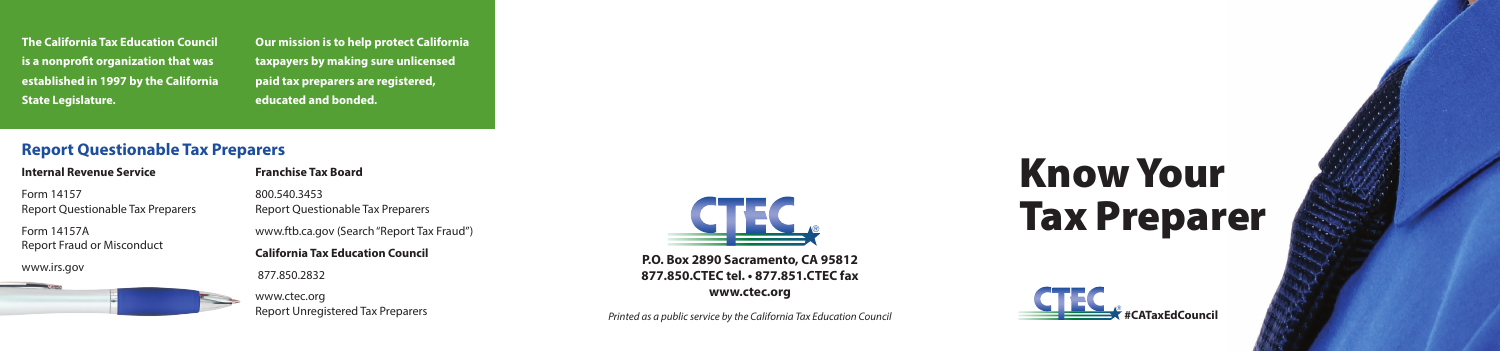



**P.O. Box 2890 Sacramento, CA 95812 877.850.CTEC tel. • 877.851.CTEC fax www.ctec.org**

*Printed as a public service by the California Tax Education Council*

**The California Tax Education Council is a nonprofit organization that was established in 1997 by the California State Legislature.** 

**Our mission is to help protect California taxpayers by making sure unlicensed paid tax preparers are registered, educated and bonded.** 

# **Report Questionable Tax Preparers**

#### **Internal Revenue Service**

Form 14157 Report Questionable Tax Preparers

Form 14157A Report Fraud or Misconduct

www.irs.gov

**Franchise Tax Board** 

800.540.3453

Report Questionable Tax Preparers www.ftb.ca.gov (Search "Report Tax Fraud") **California Tax Education Council** 877.850.2832

> www.ctec.org Report Unregistered Tax Preparers

# Know Your Tax Preparer